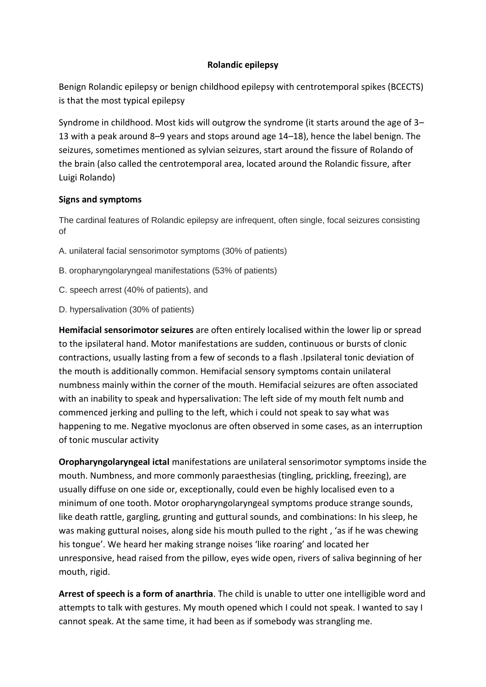## **Rolandic epilepsy**

Benign Rolandic epilepsy or benign childhood epilepsy with centrotemporal spikes (BCECTS) is that the most typical epilepsy

Syndrome in childhood. Most kids will outgrow the syndrome (it starts around the age of 3– 13 with a peak around 8–9 years and stops around age 14–18), hence the label benign. The seizures, sometimes mentioned as sylvian seizures, start around the fissure of Rolando of the brain (also called the centrotemporal area, located around the Rolandic fissure, after Luigi Rolando)

## **Signs and symptoms**

The cardinal features of Rolandic epilepsy are infrequent, often single, focal seizures consisting of

- A. unilateral facial sensorimotor symptoms (30% of patients)
- B. oropharyngolaryngeal manifestations (53% of patients)
- C. speech arrest (40% of patients), and
- D. hypersalivation (30% of patients)

**Hemifacial sensorimotor seizures** are often entirely localised within the lower lip or spread to the ipsilateral hand. Motor manifestations are sudden, continuous or bursts of clonic contractions, usually lasting from a few of seconds to a flash .Ipsilateral tonic deviation of the mouth is additionally common. Hemifacial sensory symptoms contain unilateral numbness mainly within the corner of the mouth. Hemifacial seizures are often associated with an inability to speak and hypersalivation: The left side of my mouth felt numb and commenced jerking and pulling to the left, which i could not speak to say what was happening to me. Negative myoclonus are often observed in some cases, as an interruption of tonic muscular activity

**Oropharyngolaryngeal ictal** manifestations are unilateral sensorimotor symptoms inside the mouth. Numbness, and more commonly paraesthesias (tingling, prickling, freezing), are usually diffuse on one side or, exceptionally, could even be highly localised even to a minimum of one tooth. Motor oropharyngolaryngeal symptoms produce strange sounds, like death rattle, gargling, grunting and guttural sounds, and combinations: In his sleep, he was making guttural noises, along side his mouth pulled to the right , 'as if he was chewing his tongue'. We heard her making strange noises 'like roaring' and located her unresponsive, head raised from the pillow, eyes wide open, rivers of saliva beginning of her mouth, rigid.

**Arrest of speech is a form of anarthria**. The child is unable to utter one intelligible word and attempts to talk with gestures. My mouth opened which I could not speak. I wanted to say I cannot speak. At the same time, it had been as if somebody was strangling me.